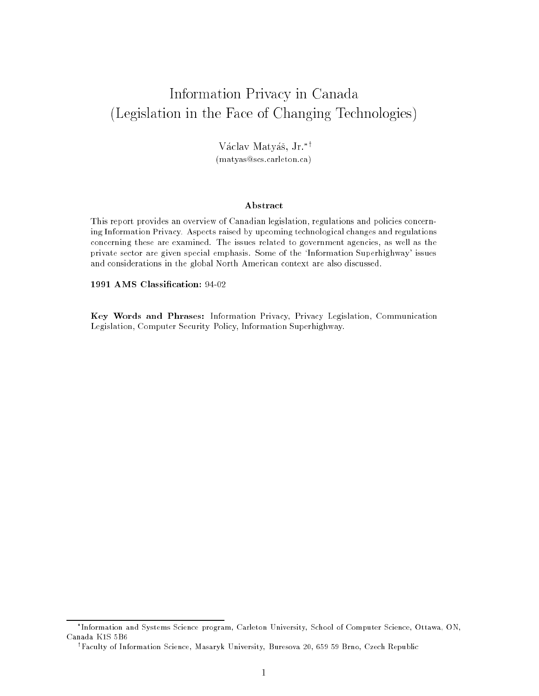# Information Privacy in Canada (Legislation in the Face of Changing Technologies)

Václav Matyáš, Jr.\*† (matyas@scs.carleton.ca)

#### Abstract

This report provides an overview of Canadian legislation, regulations and policies concerning Information Privacy. Aspects raised by upcoming technological changes and regulations concerning these are examined. The issues related to government agencies, as well as the private sector are given special emphasis. Some of the `Information Superhighway' issues and considerations in the global North American context are also discussed.

1991 AMS Classication: 94-02

Key Words and Phrases: Information Privacy, Privacy Legislation, Communication Legislation, Computer Security Policy, Information Superhighway.

Information and Systems Science program, Carleton University, School of Computer Science, Ottawa, ON, Canada K1S 5B6

<sup>y</sup> Faculty of Information Science, Masaryk University, Buresova 20, 659 59 Brno, Czech Republic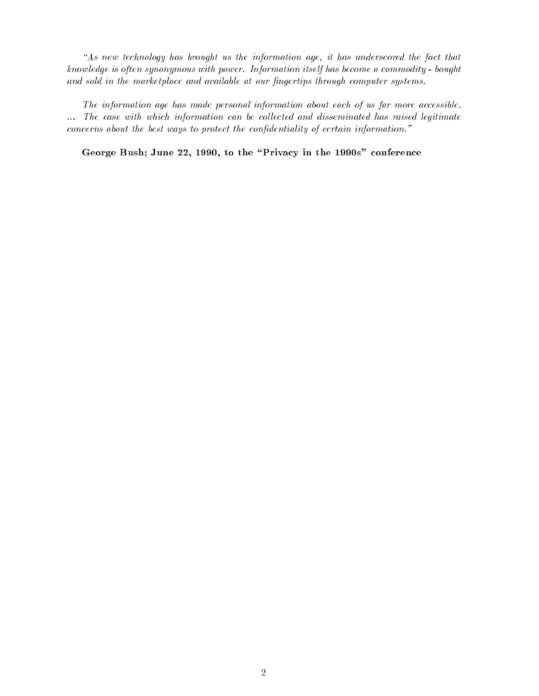$A$ s new technology has brought us the information age, it has underscored the fact that know ledge is often synonymous with power. Information itself has become a commodity - bought and sold in the marketplace and available at our fingertips through computer systems.

The information age has made personal information about each of us far more accessible. ... The ease with which information can be collected and disseminated has raised legitimate concerns about the best ways to protect the confidentiality of certain information."

George Bush; June 22, 1990, to the \Privacy in the 1990s" conference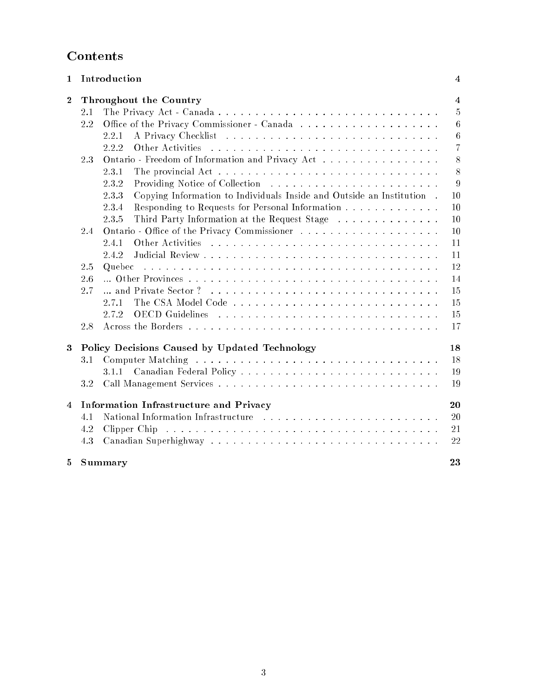## Contents

| $\mathbf{1}$   |                                        | Introduction                                                                   | $\overline{4}$ |
|----------------|----------------------------------------|--------------------------------------------------------------------------------|----------------|
| $\bf{2}$       | Throughout the Country                 |                                                                                |                |
|                | 2.1                                    |                                                                                | $\overline{5}$ |
|                | 2.2                                    |                                                                                | $\overline{6}$ |
|                |                                        | 2.2.1                                                                          | $\,6$          |
|                |                                        | Other Activities<br>2.2.2                                                      | $\overline{7}$ |
|                | 2.3                                    | Ontario - Freedom of Information and Privacy Act                               | 8              |
|                |                                        | 2.3.1                                                                          | 8              |
|                |                                        | 2.3.2                                                                          | $9\,$          |
|                |                                        | Copying Information to Individuals Inside and Outside an Institution.<br>2.3.3 | 10             |
|                |                                        | Responding to Requests for Personal Information<br>2.3.4                       | 10             |
|                |                                        | Third Party Information at the Request Stage<br>2.3.5                          | 10             |
|                | 2.4                                    |                                                                                | 10             |
|                |                                        | 2.4.1                                                                          | 11             |
|                |                                        | 2.4.2                                                                          | 11             |
|                | 2.5                                    |                                                                                | 12             |
|                | 2.6                                    |                                                                                | 14             |
|                | 2.7                                    |                                                                                | 15             |
|                |                                        | 2.7.1                                                                          | 15             |
|                |                                        | 2.7.2                                                                          | 15             |
|                | 2.8                                    |                                                                                | 17             |
| 3              |                                        | Policy Decisions Caused by Updated Technology                                  | 18             |
|                | 3.1                                    |                                                                                | 18             |
|                |                                        |                                                                                | 19             |
|                | 3.2                                    |                                                                                | 19             |
| $\overline{4}$ | Information Infrastructure and Privacy |                                                                                | 20             |
|                | 4.1                                    |                                                                                | 20             |
|                | 4.2                                    |                                                                                | 21             |
|                | 4.3                                    |                                                                                | 22             |
| 5              |                                        | Summary                                                                        | 23             |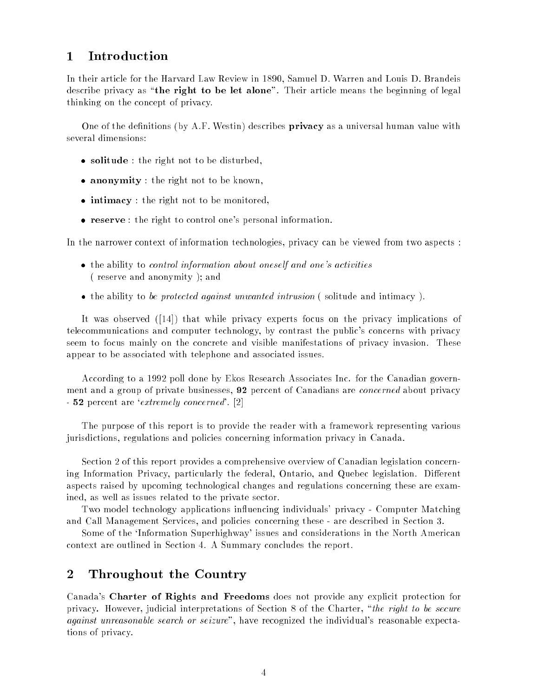#### $\mathbf{1}$ **Introduction**

In their article for the Harvard Law Review in 1890, Samuel D. Warren and Louis D. Brandeis describe privacy as "the right to be let alone". Their article means the beginning of legal thinking on the concept of privacy.

One of the definitions (by A.F. Westin) describes **privacy** as a universal human value with several dimensions:

- solitude : the right not to be disturbed,
- anonymity : the right not to be known,
- intimacy : the right not to be monitored,
- reserve : the right to control one's personal information.

In the narrower context of information technologies, privacy can be viewed from two aspects :

- the ability to *control information about oneself and one's activities* ( reserve and anonymity ); and
- the ability to be protected against unwanted intrusion (solitude and intimacy).

It was observed ([14]) that while privacy experts focus on the privacy implications of telecommunications and computer technology, by contrast the public's concerns with privacy seem to focus mainly on the concrete and visible manifestations of privacy invasion. These appear to be associated with telephone and associated issues.

According to a 1992 poll done by Ekos Research Associates Inc. for the Canadian government and a group of private businesses, 92 percent of Canadians are *concerned* about privacy - **52** percent are '*extremely concerned*'. [2]

The purpose of this report is to provide the reader with a framework representing various jurisdictions, regulations and policies concerning information privacy in Canada.

Section 2 of this report provides a comprehensive overview of Canadian legislation concerning Information Privacy, particularly the federal, Ontario, and Quebec legislation. Different aspects raised by upcoming technological changes and regulations concerning these are examined, as well as issues related to the private sector.

Two model technology applications influencing individuals' privacy - Computer Matching and Call Management Services, and policies concerning these - are described in Section 3.

Some of the `Information Superhighway' issues and considerations in the North American context are outlined in Section 4. A Summary concludes the report.

### 2 Throughout the Country

Canada's Charter of Rights and Freedoms does not provide any explicit protection for privacy. However, judicial interpretations of Section 8 of the Charter, "the right to be secure against unreasonable search or seizure", have recognized the individual's reasonable expectations of privacy.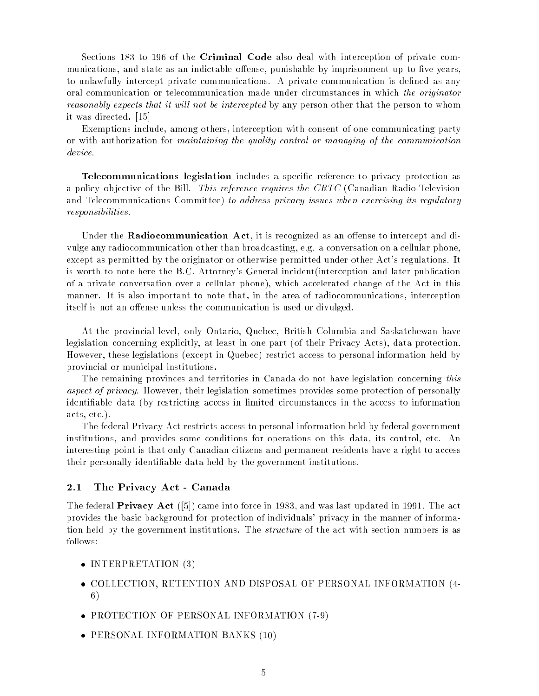Sections 183 to 196 of the Criminal Code also deal with interception of private communications, and state as an indictable offense, punishable by imprisonment up to five years, to unlawfully intercept private communications. A private communication is defined as any oral communication or telecommunication made under circumstances in which the originator reasonably expects that it will not be intercepted by any person other that the person to whom it was directed. [15]

Exemptions include, among others, interception with consent of one communicating party or with authorization for maintaining the quality control or managing of the communication device.

Telecommunications legislation includes a specic reference to privacy protection as a policy ob jective of the Bill. This reference requires the CRTC (Canadian Radio-Television and Telecommunications Committee) to address privacy issues when exercising its regulatory responsibilities.

Under the **Radiocommunication Act**, it is recognized as an offense to intercept and divulge any radiocommunication other than broadcasting, e.g. a conversation on a cellular phone, except as permitted by the originator or otherwise permitted under other Act's regulations. It is worth to note here the B.C. Attorney's General incident(interception and later publication of a private conversation over a cellular phone), which accelerated change of the Act in this manner. It is also important to note that, in the area of radiocommunications, interception itself is not an offense unless the communication is used or divulged.

At the provincial level, only Ontario, Quebec, British Columbia and Saskatchewan have legislation concerning explicitly, at least in one part (of their Privacy Acts), data protection. However, these legislations (except in Quebec) restrict access to personal information held by provincial or municipal institutions.

The remaining provinces and territories in Canada do not have legislation concerning this aspect of privacy. However, their legislation sometimes provides some protection of personally identiable data (by restricting access in limited circumstances in the access to information acts, etc.).

The federal Privacy Act restricts access to personal information held by federal government institutions, and provides some conditions for operations on this data, its control, etc. An interesting point is that only Canadian citizens and permanent residents have a right to access their personally identiable data held by the government institutions.

#### 2.1 The Privacy Act - Canada

The federal Privacy Act ([5]) came into force in 1983, and was last updated in 1991. The act provides the basic background for protection of individuals' privacy in the manner of information held by the government institutions. The *structure* of the act with section numbers is as follows:

- INTERPRETATION (3)
- COLLECTION, RETENTION AND DISPOSAL OF PERSONAL INFORMATION (4- 6)
- PROTECTION OF PERSONAL INFORMATION (7-9)
- PERSONAL INFORMATION BANKS (10)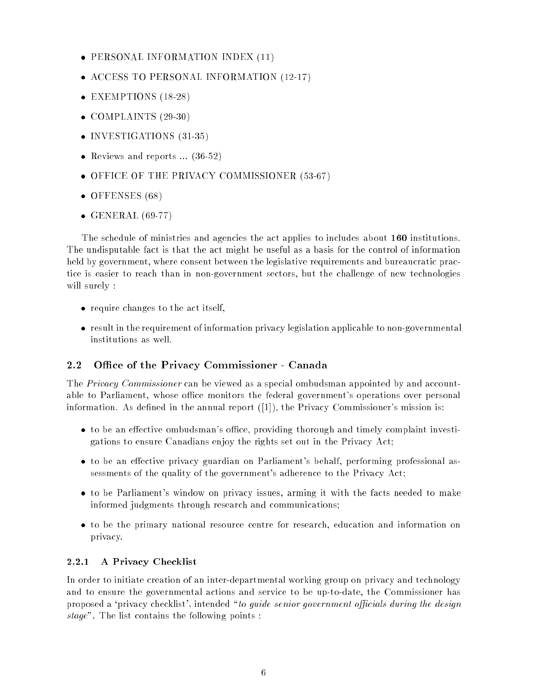- PERSONAL INFORMATION INDEX (11)
- ACCESS TO PERSONAL INFORMATION (12-17)
- EXEMPTIONS (18-28)
- $\bullet$  COMPLAINTS (29-30)
- INVESTIGATIONS (31-35)
- Reviews and reports  $\ldots$  (36-52)
- OFFICE OF THE PRIVACY COMMISSIONER (53-67)
- OFFENSES (68)
- $\bullet$  GENERAL (69-77)

The schedule of ministries and agencies the act applies to includes about 160 institutions. The undisputable fact is that the act might be useful as a basis for the control of information held by government, where consent between the legislative requirements and bureaucratic practice is easier to reach than in non-government sectors, but the challenge of new technologies will surely :

- require changes to the act itself,
- result in the requirement of information privacy legislation applicable to non-governmental institutions as well.

#### 2.2 Office of the Privacy Commissioner - Canada

The *Privacy Commissioner* can be viewed as a special ombudsman appointed by and accountable to Parliament, whose office monitors the federal government's operations over personal information. As defined in the annual report  $([1])$ , the Privacy Commissioner's mission is:

- $\bullet$  to be an effective ombudsman's office, providing thorough and timely complaint investigations to ensure Canadians enjoy the rights set out in the Privacy Act;
- $\bullet$  to be an effective privacy guardian on Parliament's behalf, performing professional assessments of the quality of the government's adherence to the Privacy Act;
- to be Parliament's window on privacy issues, arming it with the facts needed to make informed judgments through research and communications;
- to be the primary national resource centre for research, education and information on privacy.

#### 2.2.1 A Privacy Checklist

In order to initiate creation of an inter-departmental working group on privacy and technology and to ensure the governmental actions and service to be up-to-date, the Commissioner has proposed a 'privacy checklist', intended "to guide senior government officials during the design stage". The list contains the following points :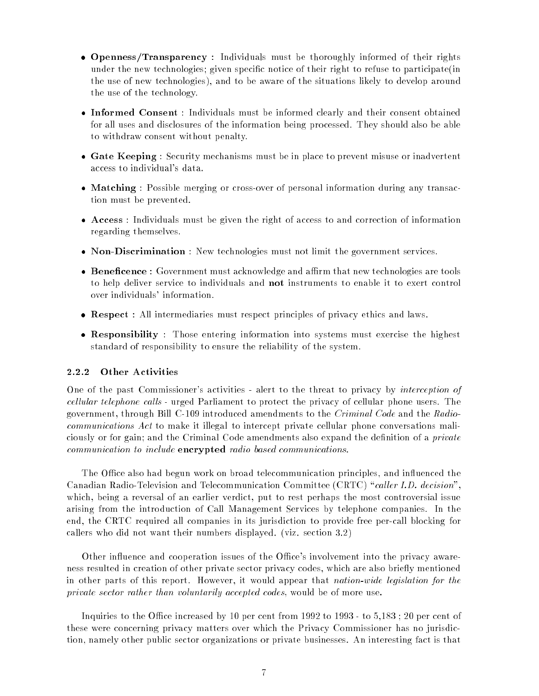- Openness/Transparency : Individuals must be thoroughly informed of their rights under the new technologies; given specific notice of their right to refuse to participate(in the use of new technologies), and to be aware of the situations likely to develop around the use of the technology.
- Informed Consent : Individuals must be informed clearly and their consent obtained for all uses and disclosures of the information being processed. They should also be able to withdraw consent without penalty.
- Gate Keeping : Security mechanisms must be in place to prevent misuse or inadvertent access to individual's data.
- Matching : Possible merging or cross-over of personal information during any transaction must be prevented.
- Access : Individuals must be given the right of access to and correction of information regarding themselves.
- Non-Discrimination : New technologies must not limit the government services.
- Beneficence : Government must acknowledge and affirm that new technologies are tools to help deliver service to individuals and not instruments to enable it to exert control over individuals' information.
- Respect : All intermediaries must respect principles of privacy ethics and laws.
- Responsibility : Those entering information into systems must exercise the highest standard of responsibility to ensure the reliability of the system.

#### 2.2.2 Other Activities

One of the past Commissioner's activities - alert to the threat to privacy by *interception of* cellular telephone calls - urged Parliament to protect the privacy of cellular phone users. The government, through Bill C-109 introduced amendments to the Criminal Code and the Radiocommunications Act to make it illegal to intercept private cellular phone conversations maliciously or for gain; and the Criminal Code amendments also expand the definition of a *private* communication to include encrypted radio based communications.

The Office also had begun work on broad telecommunication principles, and influenced the Canadian Radio-Television and Telecommunication Committee (CRTC) "caller I.D. decision". which, being a reversal of an earlier verdict, put to rest perhaps the most controversial issue arising from the introduction of Call Management Services by telephone companies. In the end, the CRTC required all companies in its jurisdiction to provide free per-call blocking for callers who did not want their numbers displayed. (viz. section 3.2)

Other influence and cooperation issues of the Office's involvement into the privacy awareness resulted in creation of other private sector privacy codes, which are also briefly mentioned in other parts of this report. However, it would appear that nation-wide legislation for the private sector rather than voluntarily accepted codes, would be of more use.

Inquiries to the Office increased by 10 per cent from  $1992$  to  $1993$  - to  $5,183$ ; 20 per cent of these were concerning privacy matters over which the Privacy Commissioner has no jurisdiction, namely other public sector organizations or private businesses. An interesting fact is that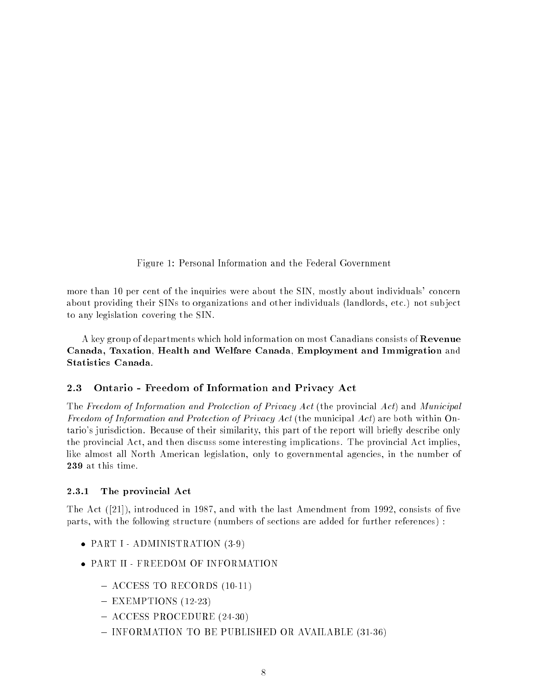Figure 1: Personal Information and the Federal Government

more than 10 per cent of the inquiries were about the SIN, mostly about individuals' concern about providing their SINs to organizations and other individuals (landlords, etc.) not sub ject to any legislation covering the SIN.

A key group of departments which hold information on most Canadians consists of Revenue Canada, Taxation, Health and Welfare Canada, Employment and Immigration and Statistics Canada.

#### 2.3 Ontario - Freedom of Information and Privacy Act

The Freedom of Information and Protection of Privacy Act (the provincial Act) and Municipal Freedom of Information and Protection of Privacy Act (the municipal Act) are both within Ontario's jurisdiction. Because of their similarity, this part of the report will briefly describe only the provincial Act, and then discuss some interesting implications. The provincial Act implies, like almost all North American legislation, only to governmental agencies, in the number of 239 at this time.

#### 2.3.1 The provincial Act

The Act  $([21])$ , introduced in 1987, and with the last Amendment from 1992, consists of five parts, with the following structure (numbers of sections are added for further references) :

- PART I ADMINISTRATION (3-9)
- PART II FREEDOM OF INFORMATION
	- $-$  ACCESS TO RECORDS (10-11)
	- $-$  EXEMPTIONS (12-23)
	- { ACCESS PROCEDURE (24-30)
	- INFORMATION TO BE PUBLISHED OR AVAILABLE (31-36)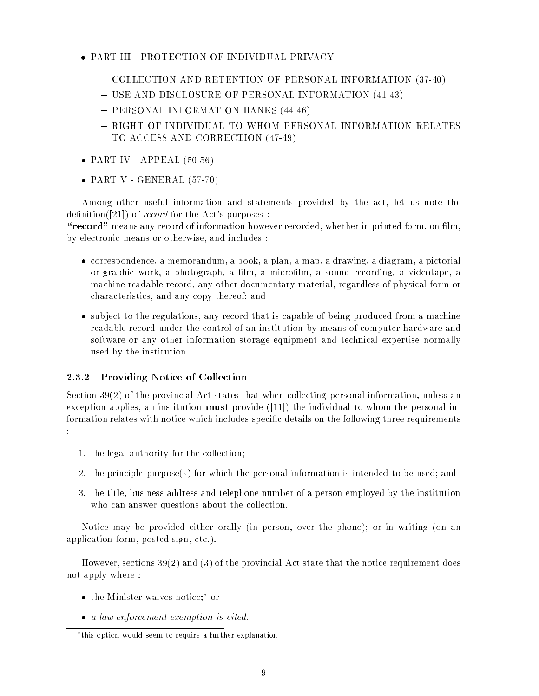- PART III PROTECTION OF INDIVIDUAL PRIVACY
	- { COLLECTION AND RETENTION OF PERSONAL INFORMATION (37-40)
	- USE AND DISCLOSURE OF PERSONAL INFORMATION (41-43)
	- PERSONAL INFORMATION BANKS (44-46)
	- $-$  RIGHT OF INDIVIDUAL TO WHOM PERSONAL INFORMATION RELATES TO ACCESS AND CORRECTION (47-49)
- $\bullet$  PART IV APPEAL (50-56)
- $\bullet$  PART V GENERAL (57-70)

Among other useful information and statements provided by the act, let us note the definition( $[21]$ ) of *record* for the Act's purposes :

"record" means any record of information however recorded, whether in printed form, on film, by electronic means or otherwise, and includes :

- correspondence, a memorandum, a book, a plan, a map, a drawing, a diagram, a pictorial or graphic work, a photograph, a film, a microfilm, a sound recording, a videotape, a machine readable record, any other documentary material, regardless of physical form or characteristics, and any copy thereof; and
- subject to the regulations, any record that is capable of being produced from a machine readable record under the control of an institution by means of computer hardware and software or any other information storage equipment and technical expertise normally used by the institution.

#### 2.3.2 Providing Notice of Collection

Section 39(2) of the provincial Act states that when collecting personal information, unless an exception applies, an institution **must** provide  $(11)$  the individual to whom the personal information relates with notice which includes specic details on the following three requirements :

- 1. the legal authority for the collection;
- 2. the principle purpose(s) for which the personal information is intended to be used; and
- 3. the title, business address and telephone number of a person employed by the institution who can answer questions about the collection.

Notice may be provided either orally (in person, over the phone); or in writing (on an application form, posted sign, etc.).

However, sections 39(2) and (3) of the provincial Act state that the notice requirement does not apply where :

- $\bullet$  the Minister waives notice; or
- a law enforcement exemption is cited.

this option would seem to require a further explanation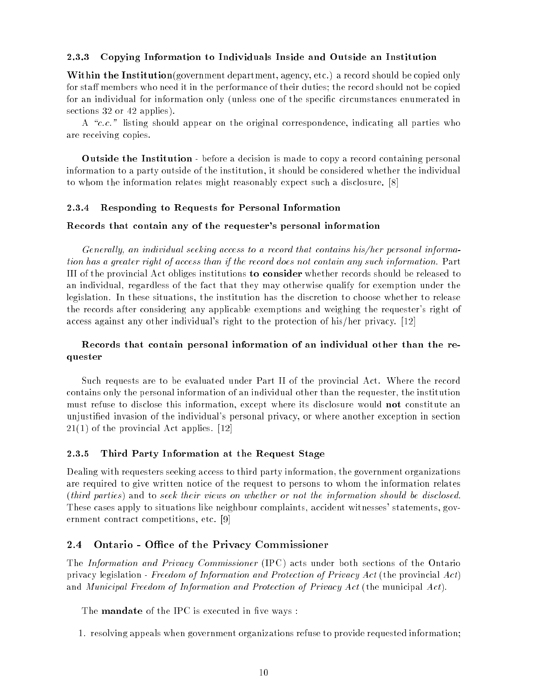#### 2.3.3 Copying Information to Individuals Inside and Outside an Institution

Within the Institution(government department, agency, etc.) a record should be copied only for staff members who need it in the performance of their duties; the record should not be copied for an individual for information only (unless one of the specic circumstances enumerated in sections 32 or 42 applies).

A " $c.c.$ " listing should appear on the original correspondence, indicating all parties who are receiving copies.

Outside the Institution - before a decision is made to copy a record containing personal information to a party outside of the institution, it should be considered whether the individual to whom the information relates might reasonably expect such a disclosure. [8]

#### 2.3.4 Responding to Requests for Personal Information

#### Records that contain any of the requester's personal information

Generally, an individual seeking access to a record that contains his/her personal information has a greater right of access than if the record does not contain any such information. Part III of the provincial Act obliges institutions to consider whether records should be released to an individual, regardless of the fact that they may otherwise qualify for exemption under the legislation. In these situations, the institution has the discretion to choose whether to release the records after considering any applicable exemptions and weighing the requester's right of access against any other individual's right to the protection of his/her privacy. [12]

#### Records that contain personal information of an individual other than the requester

Such requests are to be evaluated under Part II of the provincial Act. Where the record contains only the personal information of an individual other than the requester, the institution must refuse to disclose this information, except where its disclosure would **not** constitute an unjustied invasion of the individual's personal privacy, or where another exception in section 21(1) of the provincial Act applies. [12]

#### 2.3.5 Third Party Information at the Request Stage

Dealing with requesters seeking access to third party information, the government organizations are required to give written notice of the request to persons to whom the information relates (third parties) and to seek their views on whether or not the information should be disclosed. These cases apply to situations like neighbour complaints, accident witnesses' statements, government contract competitions, etc. [9]

#### Ontario - Office of the Privacy Commissioner 2.4

The Information and Privacy Commissioner (IPC) acts under both sections of the Ontario privacy legislation - Freedom of Information and Protection of Privacy Act (the provincial Act) and Municipal Freedom of Information and Protection of Privacy Act (the municipal Act).

The **mandate** of the IPC is executed in five ways:

1. resolving appeals when government organizations refuse to provide requested information;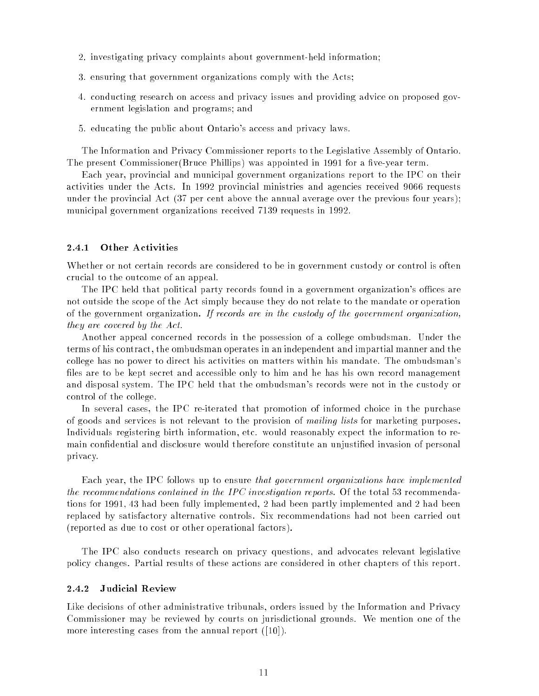- 2. investigating privacy complaints about government-held information;
- 3. ensuring that government organizations comply with the Acts;
- 4. conducting research on access and privacy issues and providing advice on proposed government legislation and programs; and
- 5. educating the public about Ontario's access and privacy laws.

The Information and Privacy Commissioner reports to the Legislative Assembly of Ontario. The present Commissioner(Bruce Phillips) was appointed in 1991 for a five-year term.

Each year, provincial and municipal government organizations report to the IPC on their activities under the Acts. In 1992 provincial ministries and agencies received 9066 requests under the provincial Act (37 per cent above the annual average over the previous four years); municipal government organizations received 7139 requests in 1992.

#### 2.4.1 Other Activities

Whether or not certain records are considered to be in government custody or control is often crucial to the outcome of an appeal.

The IPC held that political party records found in a government organization's offices are not outside the scope of the Act simply because they do not relate to the mandate or operation of the government organization. If records are in the custody of the government organization, they are covered by the Act.

Another appeal concerned records in the possession of a college ombudsman. Under the terms of his contract, the ombudsman operates in an independent and impartial manner and the college has no power to direct his activities on matters within his mandate. The ombudsman's files are to be kept secret and accessible only to him and he has his own record management and disposal system. The IPC held that the ombudsman's records were not in the custody or control of the college.

In several cases, the IPC re-iterated that promotion of informed choice in the purchase of goods and services is not relevant to the provision of mailing lists for marketing purposes. Individuals registering birth information, etc. would reasonably expect the information to remain condential and disclosure would therefore constitute an unjustied invasion of personal privacy.

Each year, the IPC follows up to ensure that government organizations have implemented the recommendations contained in the IPC investigation reports. Of the total 53 recommendations for 1991, 43 had been fully implemented, 2 had been partly implemented and 2 had been replaced by satisfactory alternative controls. Six recommendations had not been carried out (reported as due to cost or other operational factors).

The IPC also conducts research on privacy questions, and advocates relevant legislative policy changes. Partial results of these actions are considered in other chapters of this report.

#### 2.4.2 Judicial Review

Like decisions of other administrative tribunals, orders issued by the Information and Privacy Commissioner may be reviewed by courts on jurisdictional grounds. We mention one of the more interesting cases from the annual report ([10]).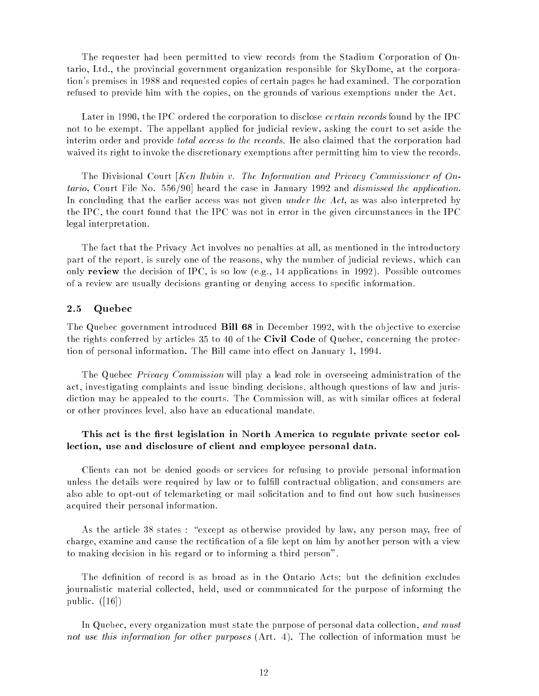The requester had been permitted to view records from the Stadium Corporation of Ontario, Ltd., the provincial government organization responsible for SkyDome, at the corporation's premises in 1988 and requested copies of certain pages he had examined. The corporation refused to provide him with the copies, on the grounds of various exemptions under the Act.

Later in 1990, the IPC ordered the corporation to disclose *certain records* found by the IPC not to be exempt. The appellant applied for judicial review, asking the court to set aside the interim order and provide *total access to the records*. He also claimed that the corporation had waived its right to invoke the discretionary exemptions after permitting him to view the records.

The Divisional Court [Ken Rubin v. The Information and Privacy Commissioner of Ontario, Court File No. 556/90] heard the case in January 1992 and dismissed the application. In concluding that the earlier access was not given *under the Act*, as was also interpreted by the IPC, the court found that the IPC was not in error in the given circumstances in the IPC legal interpretation.

The fact that the Privacy Act involves no penalties at all, as mentioned in the introductory part of the report, is surely one of the reasons, why the number of judicial reviews, which can only review the decision of IPC, is so low (e.g., 14 applications in 1992). Possible outcomes of a review are usually decisions granting or denying access to specific information.

#### $2.5$ Quebec

The Quebec government introduced Bill 68 in December 1992, with the ob jective to exercise the rights conferred by articles 35 to 40 of the Civil Code of Quebec, concerning the protection of personal information. The Bill came into effect on January 1, 1994.

The Quebec *Privacy Commission* will play a lead role in overseeing administration of the act, investigating complaints and issue binding decisions, although questions of law and jurisdiction may be appealed to the courts. The Commission will, as with similar offices at federal or other provinces level, also have an educational mandate.

### This act is the first legislation in North America to regulate private sector collection, use and disclosure of client and employee personal data.

Clients can not be denied goods or services for refusing to provide personal information unless the details were required by law or to fulll contractual obligation, and consumers are also able to opt-out of telemarketing or mail solicitation and to find out how such businesses acquired their personal information.

As the article 38 states : "except as otherwise provided by law, any person may, free of charge, examine and cause the rectification of a file kept on him by another person with a view to making decision in his regard or to informing a third person".

The definition of record is as broad as in the Ontario Acts; but the definition excludes journalistic material collected, held, used or communicated for the purpose of informing the public.  $([16])$ 

In Quebec, every organization must state the purpose of personal data collection, and must not use this information for other purposes (Art. 4). The collection of information must be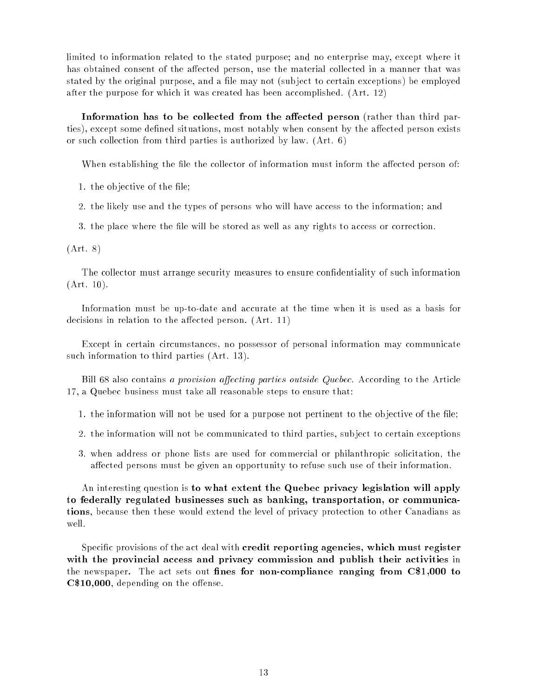limited to information related to the stated purpose; and no enterprise may, except where it has obtained consent of the affected person, use the material collected in a manner that was stated by the original purpose, and a file may not (subject to certain exceptions) be employed after the purpose for which it was created has been accomplished. (Art. 12)

Information has to be collected from the affected person (rather than third parties), except some defined situations, most notably when consent by the affected person exists or such collection from third parties is authorized by law. (Art. 6)

When establishing the file the collector of information must inform the affected person of:

1. the objective of the file;

2. the likely use and the types of persons who will have access to the information; and

3. the place where the file will be stored as well as any rights to access or correction.

(Art. 8)

The collector must arrange security measures to ensure condentiality of such information (Art. 10).

Information must be up-to-date and accurate at the time when it is used as a basis for decisions in relation to the affected person.  $(Art. 11)$ 

Except in certain circumstances, no possessor of personal information may communicate such information to third parties (Art. 13).

Bill 68 also contains a provision affecting parties outside Quebec. According to the Article 17, a Quebec business must take all reasonable steps to ensure that:

1. the information will not be used for a purpose not pertinent to the objective of the file;

- 2. the information will not be communicated to third parties, sub ject to certain exceptions
- 3. when address or phone lists are used for commercial or philanthropic solicitation, the affected persons must be given an opportunity to refuse such use of their information.

An interesting question is to what extent the Quebec privacy legislation will apply to federally regulated businesses such as banking, transportation, or communications, because then these would extend the level of privacy protection to other Canadians as well.

Specific provisions of the act deal with **credit reporting agencies, which must register** with the provincial access and privacy commission and publish their activities in the newspaper. The act sets out fines for non-compliance ranging from  $C$1,000$  to  $C$10,000$ , depending on the offense.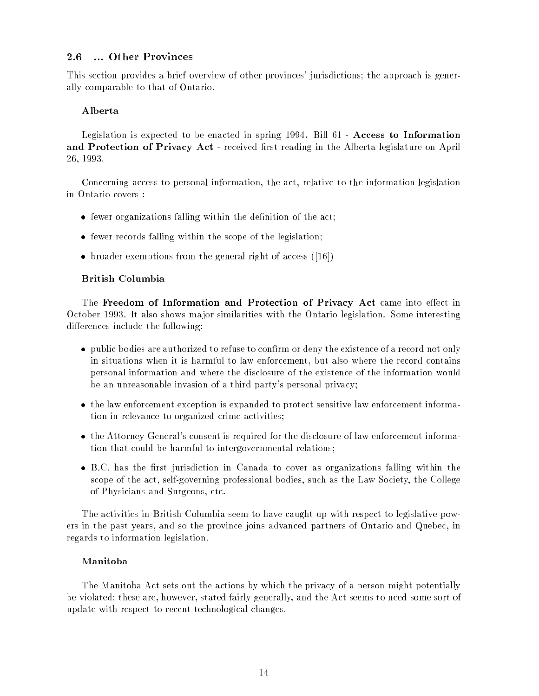#### 2.6 ... Other Provinces

This section provides a brief overview of other provinces' jurisdictions; the approach is generally comparable to that of Ontario.

### Alberta

Legislation is expected to be enacted in spring  $1994$ . Bill  $61$  - Access to Information and Protection of Privacy Act - received first reading in the Alberta legislature on April 26, 1993.

Concerning access to personal information, the act, relative to the information legislation in Ontario covers :

- $\bullet$  fewer organizations falling within the definition of the act;
- fewer records falling within the scope of the legislation;
- broader exemptions from the general right of access ([16])

#### British Columbia

The Freedom of Information and Protection of Privacy Act came into effect in October 1993. It also shows ma jor similarities with the Ontario legislation. Some interesting differences include the following:

- public bodies are authorized to refuse to confirm or deny the existence of a record not only in situations when it is harmful to law enforcement, but also where the record contains personal information and where the disclosure of the existence of the information would be an unreasonable invasion of a third party's personal privacy;
- the law enforcement exception is expanded to protect sensitive law enforcement information in relevance to organized crime activities;
- the Attorney General's consent is required for the disclosure of law enforcement information that could be harmful to intergovernmental relations;
- B.C. has the first jurisdiction in Canada to cover as organizations falling within the scope of the act, self-governing professional bodies, such as the Law Society, the College of Physicians and Surgeons, etc.

The activities in British Columbia seem to have caught up with respect to legislative powers in the past years, and so the province joins advanced partners of Ontario and Quebec, in regards to information legislation.

#### Manitoba

The Manitoba Act sets out the actions by which the privacy of a person might potentially be violated; these are, however, stated fairly generally, and the Act seems to need some sort of update with respect to recent technological changes.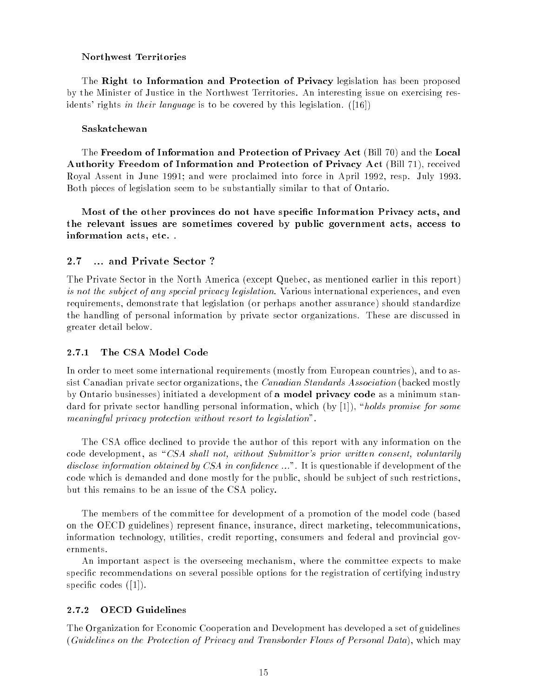#### Northwest Territories

The Right to Information and Protection of Privacy legislation has been proposed by the Minister of Justice in the Northwest Territories. An interesting issue on exercising residents' rights in their language is to be covered by this legislation. ([16])

#### Saskatchewan

The Freedom of Information and Protection of Privacy Act (Bill 70) and the Local Authority Freedom of Information and Protection of Privacy Act (Bill 71), received Royal Assent in June 1991; and were proclaimed into force in April 1992, resp. July 1993. Both pieces of legislation seem to be substantially similar to that of Ontario.

Most of the other provinces do not have specic Information Privacy acts, and the relevant issues are sometimes covered by public government acts, access to information acts, etc. .

#### $2.7$ ... and Private Sector ?

The Private Sector in the North America (except Quebec, as mentioned earlier in this report) is not the subject of any special privacy legislation. Various international experiences, and even requirements, demonstrate that legislation (or perhaps another assurance) should standardize the handling of personal information by private sector organizations. These are discussed in greater detail below.

#### 2.7.1 The CSA Model Code

In order to meet some international requirements (mostly from European countries), and to assist Canadian private sector organizations, the Canadian Standards Association (backed mostly by Ontario businesses) initiated a development of a model privacy code as a minimum standard for private sector handling personal information, which (by  $[1]$ ), "holds promise for some meaningful privacy protection without resort to legislation".

The CSA office declined to provide the author of this report with any information on the code development, as "CSA shall not, without Submittor's prior written consent, voluntarily disclose information obtained by CSA in confidence  $\dots$ ". It is questionable if development of the code which is demanded and done mostly for the public, should be sub ject of such restrictions, but this remains to be an issue of the CSA policy.

The members of the committee for development of a promotion of the model code (based on the OECD guidelines) represent finance, insurance, direct marketing, telecommunications, information technology, utilities, credit reporting, consumers and federal and provincial governments.

An important aspect is the overseeing mechanism, where the committee expects to make specific recommendations on several possible options for the registration of certifying industry specific codes  $([1])$ .

#### 2.7.2 OECD Guidelines

The Organization for Economic Cooperation and Development has developed a set of guidelines (Guidelines on the Protection of Privacy and Transborder Flows of Personal Data), which may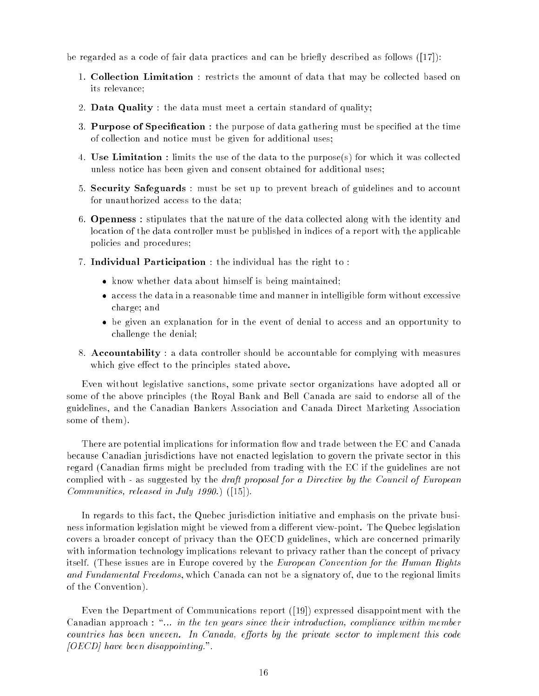be regarded as a code of fair data practices and can be briefly described as follows  $([17])$ :

- 1. Collection Limitation : restricts the amount of data that may be collected based on its relevance;
- 2. Data Quality : the data must meet a certain standard of quality;
- 3. Purpose of Specification : the purpose of data gathering must be specified at the time of collection and notice must be given for additional uses;
- 4. Use Limitation : limits the use of the data to the purpose(s) for which it was collected unless notice has been given and consent obtained for additional uses;
- 5. Security Safeguards : must be set up to prevent breach of guidelines and to account for unauthorized access to the data;
- 6. Openness : stipulates that the nature of the data collected along with the identity and location of the data controller must be published in indices of a report with the applicable policies and procedures;
- 7. Individual Participation : the individual has the right to :
	- know whether data about himself is being maintained;
	- access the data in a reasonable time and manner in intelligible form without excessive charge; and
	- be given an explanation for in the event of denial to access and an opportunity to challenge the denial;
- 8. Accountability : a data controller should be accountable for complying with measures which give effect to the principles stated above.

Even without legislative sanctions, some private sector organizations have adopted all or some of the above principles (the Royal Bank and Bell Canada are said to endorse all of the guidelines, and the Canadian Bankers Association and Canada Direct Marketing Association some of them).

There are potential implications for information flow and trade between the EC and Canada because Canadian jurisdictions have not enacted legislation to govern the private sector in this regard (Canadian firms might be precluded from trading with the EC if the guidelines are not complied with - as suggested by the *draft proposal for a Directive by the Council of European* Communities, released in July 1990.) ([15]).

In regards to this fact, the Quebec jurisdiction initiative and emphasis on the private business information legislation might be viewed from a different view-point. The Quebec legislation covers a broader concept of privacy than the OECD guidelines, which are concerned primarily with information technology implications relevant to privacy rather than the concept of privacy itself. (These issues are in Europe covered by the *European Convention for the Human Rights* and Fundamental Freedoms, which Canada can not be a signatory of, due to the regional limits of the Convention).

Even the Department of Communications report ([19]) expressed disappointment with the Canadian approach : "... in the ten years since their introduction, compliance within member countries has been uneven. In Canada, efforts by the private sector to implement this code  $[OECD]$  have been disappointing.".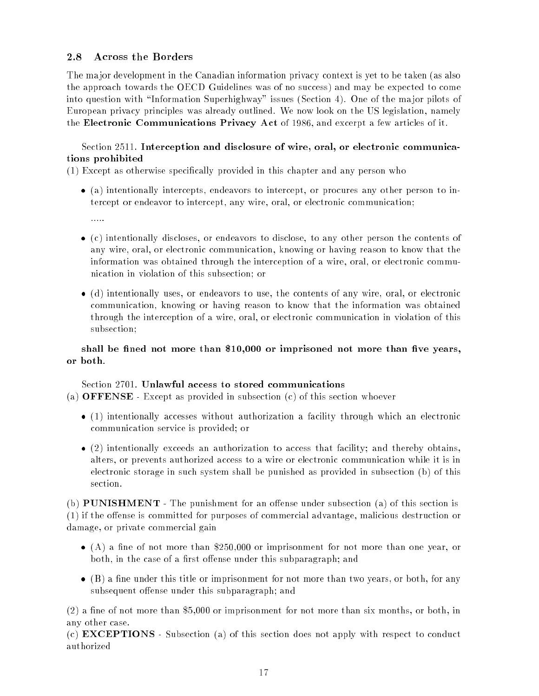#### 2.8 **Across the Borders**

The ma jor development in the Canadian information privacy context is yet to be taken (as also the approach towards the OECD Guidelines was of no success) and may be expected to come into question with "Information Superhighway" issues (Section 4). One of the major pilots of European privacy principles was already outlined. We now look on the US legislation, namely the Electronic Communications Privacy Act of 1986, and excerpt a few articles of it.

### Section 2511. Interception and disclosure of wire, oral, or electronic communications prohibited

 $(1)$  Except as otherwise specifically provided in this chapter and any person who

- (a) intentionally intercepts, endeavors to intercept, or procures any other person to intercept or endeavor to intercept, any wire, oral, or electronic communication;
	- $\ldots$
- (c) intentionally discloses, or endeavors to disclose, to any other person the contents of any wire, oral, or electronic communication, knowing or having reason to know that the information was obtained through the interception of a wire, oral, or electronic communication in violation of this subsection; or
- (d) intentionally uses, or endeavors to use, the contents of any wire, oral, or electronic communication, knowing or having reason to know that the information was obtained through the interception of a wire, oral, or electronic communication in violation of this subsection;

# shall be fined not more than  $\$10,\!000$  or imprisoned not more than five years,

#### Section 2701. Unlawful access to stored communications

- (a) OFFENSE Except as provided in subsection (c) of this section whoever
	- (1) intentionally accesses without authorization a facility through which an electronic communication service is provided; or
	- $\bullet$  (2) intentionally exceeds an authorization to access that facility; and thereby obtains, alters, or prevents authorized access to a wire or electronic communication while it is in electronic storage in such system shall be punished as provided in subsection (b) of this section.

(b) **PUNISHMENT** - The punishment for an offense under subsection (a) of this section is  $(1)$  if the offense is committed for purposes of commercial advantage, malicious destruction or damage, or private commercial gain

- $\bullet$  (A) a fine of not more than \$250,000 or imprisonment for not more than one year, or both, in the case of a first offense under this subparagraph; and
- $\bullet$  (B) a fine under this title or imprisonment for not more than two years, or both, for any subsequent offense under this subparagraph; and

 $(2)$  a fine of not more than \$5,000 or imprisonment for not more than six months, or both, in any other case.

(c) EXCEPTIONS - Subsection (a) of this section does not apply with respect to conduct authorized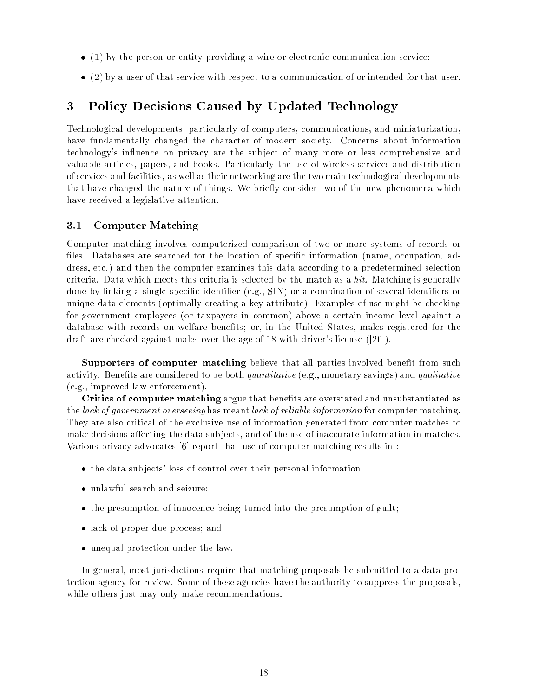- $\bullet$  (1) by the person or entity providing a wire or electronic communication service;
- (2) by a user of that service with respect to a communication of or intended for that user.

### 3 Policy Decisions Caused by Updated Technology

Technological developments, particularly of computers, communications, and miniaturization, have fundamentally changed the character of modern society. Concerns about information technology's influence on privacy are the subject of many more or less comprehensive and valuable articles, papers, and books. Particularly the use of wireless services and distribution of services and facilities, as well as their networking are the two main technological developments that have changed the nature of things. We briefly consider two of the new phenomena which have received a legislative attention.

#### 3.1 Computer Matching

Computer matching involves computerized comparison of two or more systems of records or files. Databases are searched for the location of specific information (name, occupation, address, etc.) and then the computer examines this data according to a predetermined selection criteria. Data which meets this criteria is selected by the match as a *hit*. Matching is generally done by linking a single specific identifier  $(e.g., SIN)$  or a combination of several identifiers or unique data elements (optimally creating a key attribute). Examples of use might be checking for government employees (or taxpayers in common) above a certain income level against a database with records on welfare benefits; or, in the United States, males registered for the draft are checked against males over the age of 18 with driver's license ([20]).

Supporters of computer matching believe that all parties involved benefit from such activity. Benefits are considered to be both *quantitative* (e.g., monetary savings) and *qualitative* (e.g., improved law enforcement).

Critics of computer matching argue that benefits are overstated and unsubstantiated as the lack of government overseeing has meant lack of reliable information for computer matching. They are also critical of the exclusive use of information generated from computer matches to make decisions affecting the data subjects, and of the use of inaccurate information in matches. Various privacy advocates [6] report that use of computer matching results in :

- the data subjects' loss of control over their personal information;
- unlawful search and seizure;
- $\bullet$  the presumption of innocence being turned into the presumption of guilt;
- lack of proper due process; and
- unequal protection under the law.

In general, most jurisdictions require that matching proposals be submitted to a data protection agency for review. Some of these agencies have the authority to suppress the proposals, while others just may only make recommendations.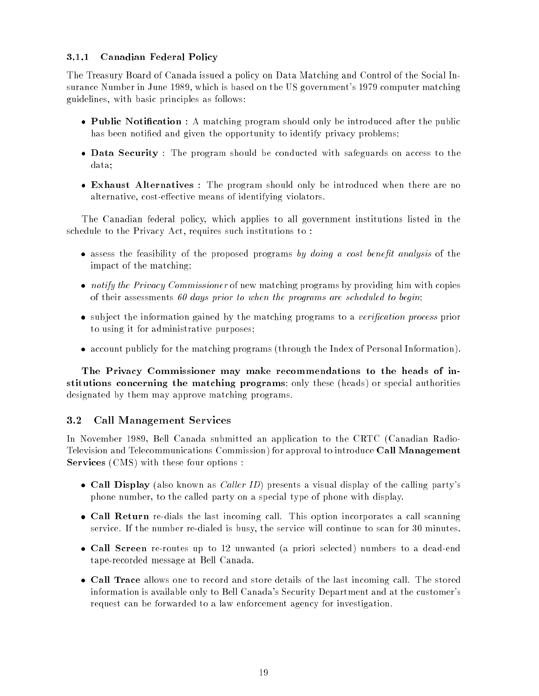### 3.1.1 Canadian Federal Policy

The Treasury Board of Canada issued a policy on Data Matching and Control of the Social Insurance Number in June 1989, which is based on the US government's 1979 computer matching guidelines, with basic principles as follows:

- Public Notification : A matching program should only be introduced after the public has been notified and given the opportunity to identify privacy problems;
- Data Security : The program should be conducted with safeguards on access to the data;
- Exhaust Alternatives : The program should only be introduced when there are no alternative, cost-effective means of identifying violators.

The Canadian federal policy, which applies to all government institutions listed in the schedule to the Privacy Act, requires such institutions to :

- assess the feasibility of the proposed programs by doing a cost benefit analysis of the impact of the matching;
- notify the Privacy Commissioner of new matching programs by providing him with copies of their assessments 60 days prior to when the programs are scheduled to begin;
- subject the information gained by the matching programs to a verification process prior to using it for administrative purposes;
- account publicly for the matching programs (through the Index of Personal Information).

The Privacy Commissioner may make recommendations to the heads of institutions concerning the matching programs; only these (heads) or special authorities designated by them may approve matching programs.

#### 3.2 Call Management Services

In November 1989, Bell Canada submitted an application to the CRTC (Canadian Radio-Television and Telecommunications Commission) for approval to introduce Call Management Services (CMS) with these four options :

- Call Display (also known as *Caller ID*) presents a visual display of the calling party's phone number, to the called party on a special type of phone with display.
- Call Return re-dials the last incoming call. This option incorporates a call scanning service. If the number re-dialed is busy, the service will continue to scan for 30 minutes.
- Call Screen re-routes up to 12 unwanted (a priori selected) numbers to a dead-end tape-recorded message at Bell Canada.
- Call Trace allows one to record and store details of the last incoming call. The stored information is available only to Bell Canada's Security Department and at the customer's request can be forwarded to a law enforcement agency for investigation.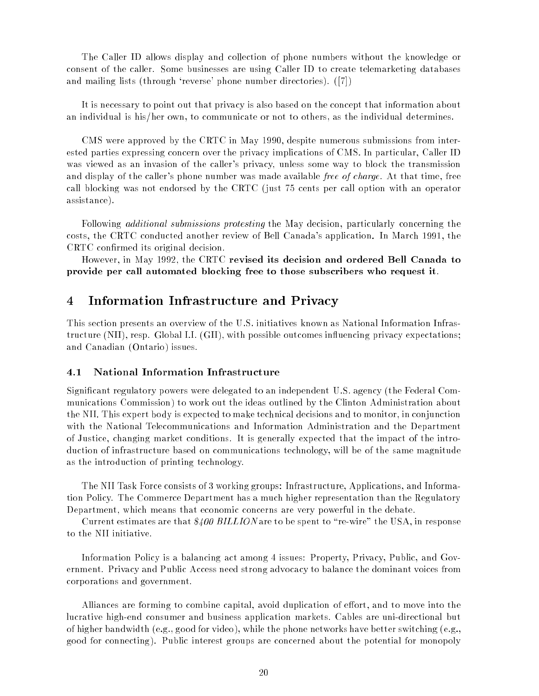The Caller ID allows display and collection of phone numbers without the knowledge or consent of the caller. Some businesses are using Caller ID to create telemarketing databases and mailing lists (through 'reverse' phone number directories). ([7])

It is necessary to point out that privacy is also based on the concept that information about an individual is his/her own, to communicate or not to others, as the individual determines.

CMS were approved by the CRTC in May 1990, despite numerous submissions from interested parties expressing concern over the privacy implications of CMS. In particular, Caller ID was viewed as an invasion of the caller's privacy, unless some way to block the transmission and display of the caller's phone number was made available *free of charge*. At that time, free call blocking was not endorsed by the CRTC (just 75 cents per call option with an operator assistance).

Following *additional submissions protesting* the May decision, particularly concerning the costs, the CRTC conducted another review of Bell Canada's application. In March 1991, the CRTC conrmed its original decision.

However, in May 1992, the CRTC revised its decision and ordered Bell Canada to provide per call automated blocking free to those subscribers who request it.

#### $\overline{4}$ 4 Information Infrastructure and Privacy

This section presents an overview of the U.S. initiatives known as National Information Infrastructure (NII), resp. Global I.I. (GII), with possible outcomes in
uencing privacy expectations; and Canadian (Ontario) issues.

#### 4.1 National Information Infrastructure

Signicant regulatory powers were delegated to an independent U.S. agency (the Federal Communications Commission) to work out the ideas outlined by the Clinton Administration about the NII. This expert body is expected to make technical decisions and to monitor, in conjunction with the National Telecommunications and Information Administration and the Department of Justice, changing market conditions. It is generally expected that the impact of the introduction of infrastructure based on communications technology, will be of the same magnitude as the introduction of printing technology.

The NII Task Force consists of 3 working groups: Infrastructure, Applications, and Information Policy. The Commerce Department has a much higher representation than the Regulatory Department, which means that economic concerns are very powerful in the debate.

Current estimates are that  $\frac{200}{100}$  BILLION are to be spent to "re-wire" the USA, in response to the NII initiative.

Information Policy is a balancing act among 4 issues: Property, Privacy, Public, and Government. Privacy and Public Access need strong advocacy to balance the dominant voices from corporations and government.

Alliances are forming to combine capital, avoid duplication of effort, and to move into the lucrative high-end consumer and business application markets. Cables are uni-directional but of higher bandwidth (e.g., good for video), while the phone networks have better switching (e.g., good for connecting). Public interest groups are concerned about the potential for monopoly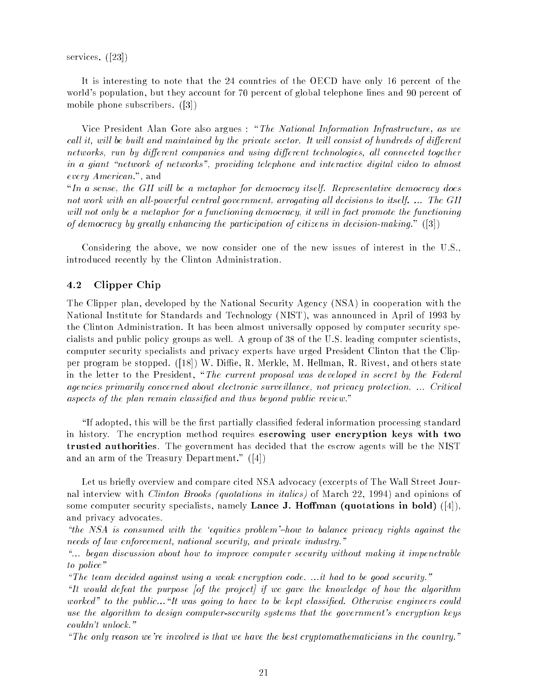services. ([23])

It is interesting to note that the 24 countries of the OECD have only 16 percent of the world's population, but they account for 70 percent of global telephone lines and 90 percent of mobile phone subscribers. ([3])

Vice President Alan Gore also argues : "The National Information Infrastructure, as we call it, will be built and maintained by the private sector. It will consist of hundreds of different networks, run by different companies and using different technologies, all connected together in a giant "network of networks", providing telephone and interactive digital video to almost every American.", and

 $\ln a$  sense, the GII will be a metaphor for democracy itself. Representative democracy does not work with an all-powerful central government, arrogating all decisions to itself.  $\ldots$  The GII will not only be a metaphor for a functioning democracy, it will in fact promote the functioning of democracy by greatly enhancing the participation of citizens in decision-making." ([3])

Considering the above, we now consider one of the new issues of interest in the U.S., introduced recently by the Clinton Administration.

#### 4.2 Clipper Chip

The Clipper plan, developed by the National Security Agency (NSA) in cooperation with the National Institute for Standards and Technology (NIST), was announced in April of 1993 by the Clinton Administration. It has been almost universally opposed by computer security specialists and public policy groups as well. A group of 38 of the U.S. leading computer scientists, computer security specialists and privacy experts have urged President Clinton that the Clipper program be stopped. ([18]) W. Diffie, R. Merkle, M. Hellman, R. Rivest, and others state in the letter to the President, "The current proposal was developed in secret by the Federal agencies primarily concerned about electronic surveillance, not privacy protection. ... Critical aspects of the plan remain classified and thus beyond public review."

"If adopted, this will be the first partially classified federal information processing standard in history. The encryption method requires escrowing user encryption keys with two trusted authorities. The government has decided that the escrow agents will be the NIST and an arm of the Treasury Department." ([4])

Let us briefly overview and compare cited NSA advocacy (excerpts of The Wall Street Journal interview with Clinton Brooks (quotations in italics) of March 22, 1994) and opinions of some computer security specialists, namely Lance J. Hoffman (quotations in bold)  $([4])$ , and privacy advocates.

"the NSA is consumed with the 'equities problem'-how to balance privacy rights against the needs of law enforcement, national security, and private industry."

 $\ldots$  began discussion about how to improve computer security without making it impenetrable to police"

"The team decided against using a weak encryption code. ...it had to be good security."

"It would defeat the purpose  $[$ of the project] if we gave the knowledge of how the algorithm worked" to the public... $H$  was going to have to be kept classified. Otherwise engineers could use the algorithm to design computer-security systems that the government's encryption keys couldn't unlock."

"The only reason we're involved is that we have the best cryptomathematicians in the country."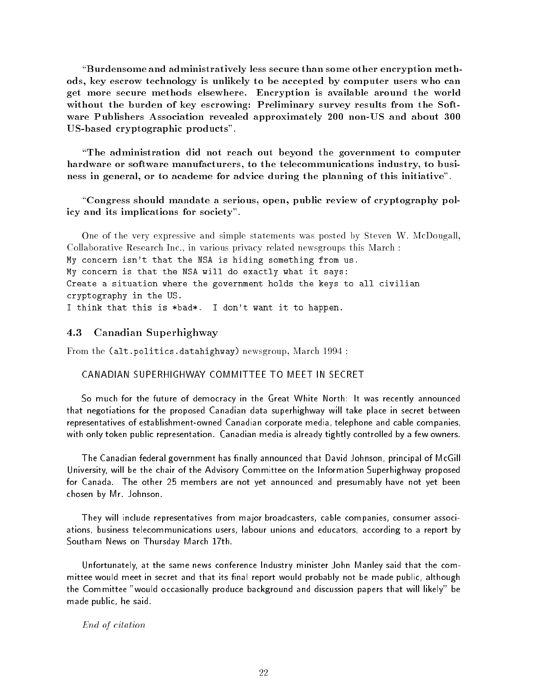$\lq$ Burdensome and administratively less secure than some other encryption methods, key escrow technology is unlikely to be accepted by computer users who can get more secure methods elsewhere. Encryption is available around the world without the burden of key escrowing: Preliminary survey results from the Software Publishers Association revealed approximately 200 non-US and about 300 US-based cryptographic products".

"The administration did not reach out beyond the government to computer hardware or software manufacturers, to the telecommunications industry, to business in general, or to academe for advice during the planning of this initiative".

\Congress should mandate a serious, open, public review of cryptography policy and its implications for society".

One of the very expressive and simple statements was posted by Steven W. McDougall, Collaborative Research Inc., in various privacy related newsgroups this March : My concern isn't that the NSA is hiding something from us. My concern is that the NSA will do exactly what it says: Create a situation where the government holds the keys to all civilian cryptography in the US. I think that this is \*bad\*. I don't want it to happen.

#### 4.3 Canadian Superhighway

From the (alt.politics.datahighway) newsgroup, March 1994 :

#### CANADIAN SUPERHIGHWAY COMMITTEE TO MEET IN SECRET

So much for the future of democracy in the Great White North: It was recently announced that negotiations for the proposed Canadian data superhighway will take place in secret between representatives of establishment-owned Canadian corporate media, telephone and cable companies, with only token public representation. Canadian media is already tightly controlled by a few owners.

The Canadian federal government has finally announced that David Johnson, principal of McGill University, will be the chair of the Advisory Committee on the Information Superhighway proposed for Canada. The other 25 members are not yet announced and presumably have not yet been chosen by Mr. Johnson.

They will include representatives from major broadcasters, cable companies, consumer associations, business telecommunications users, labour unions and educators, according to a report by Southam News on Thursday March 17th.

Unfortunately, at the same news conference Industry minister John Manley said that the committee would meet in secret and that its final report would probably not be made public, although the Committee "would occasionally produce background and discussion papers that will likely" be made public, he said.

End of citation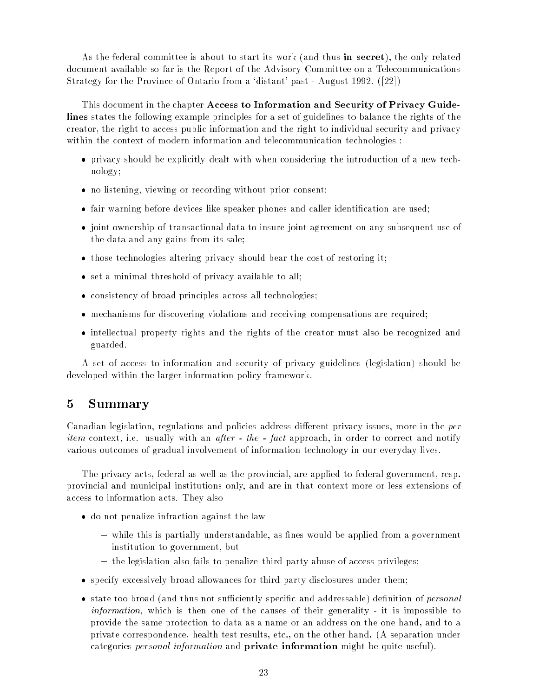As the federal committee is about to start its work (and thus in secret), the only related document available so far is the Report of the Advisory Committee on a Telecommunications Strategy for the Province of Ontario from a 'distant' past - August 1992. ([22])

This document in the chapter Access to Information and Security of Privacy Guidelines states the following example principles for a set of guidelines to balance the rights of the creator, the right to access public information and the right to individual security and privacy within the context of modern information and telecommunication technologies :

- privacy should be explicitly dealt with when considering the introduction of a new technology;
- no listening, viewing or recording without prior consent;
- fair warning before devices like speaker phones and caller identification are used;
- joint ownership of transactional data to insure joint agreement on any subsequent use of the data and any gains from its sale;
- $\bullet$  those technologies altering privacy should bear the cost of restoring it;
- set a minimal threshold of privacy available to all;
- consistency of broad principles across all technologies;
- mechanisms for discovering violations and receiving compensations are required;
- intellectual property rights and the rights of the creator must also be recognized and guarded.

A set of access to information and security of privacy guidelines (legislation) should be developed within the larger information policy framework.

### 5 Summary

Canadian legislation, regulations and policies address different privacy issues, more in the *per item* context, i.e. usually with an *after - the - fact* approach, in order to correct and notify various outcomes of gradual involvement of information technology in our everyday lives.

The privacy acts, federal as well as the provincial, are applied to federal government, resp. provincial and municipal institutions only, and are in that context more or less extensions of access to information acts. They also

- do not penalize infraction against the law
	- $-$  while this is partially understandable, as fines would be applied from a government institution to government, but
	- the legislation also fails to penalize third party abuse of access privileges;
- specify excessively broad allowances for third party disclosures under them;
- state too broad (and thus not sufficiently specific and addressable) definition of *personal* information, which is then one of the causes of their generality - it is impossible to provide the same protection to data as a name or an address on the one hand, and to a private correspondence, health test results, etc., on the other hand. (A separation under categories *personal information* and **private information** might be quite useful).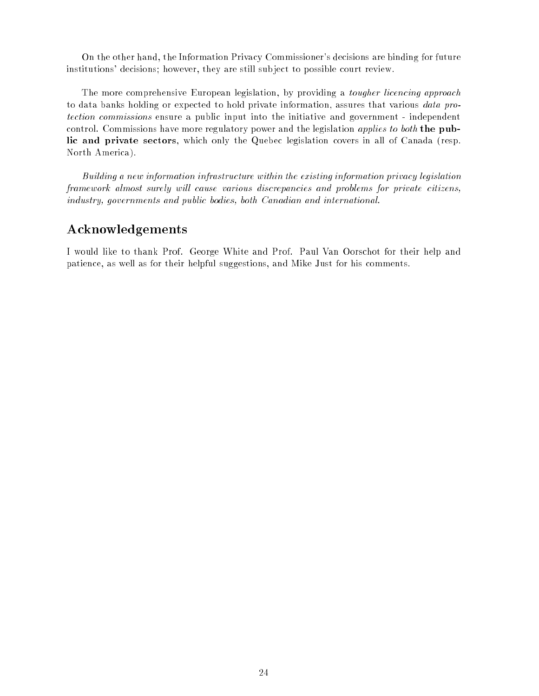On the other hand, the Information Privacy Commissioner's decisions are binding for future institutions' decisions; however, they are still sub ject to possible court review.

The more comprehensive European legislation, by providing a *tougher licencing approach* to data banks holding or expected to hold private information, assures that various data protection commissions ensure a public input into the initiative and government - independent control. Commissions have more regulatory power and the legislation *applies to both* the public and private sectors, which only the Quebec legislation covers in all of Canada (resp. North America).

Building a new information infrastructure within the existing information privacy legislation framework almost surely will cause various discrepancies and problems for private citizens, industry, governments and public bodies, both Canadian and international.

### Acknowledgements

I would like to thank Prof. George White and Prof. Paul Van Oorschot for their help and patience, as well as for their helpful suggestions, and Mike Just for his comments.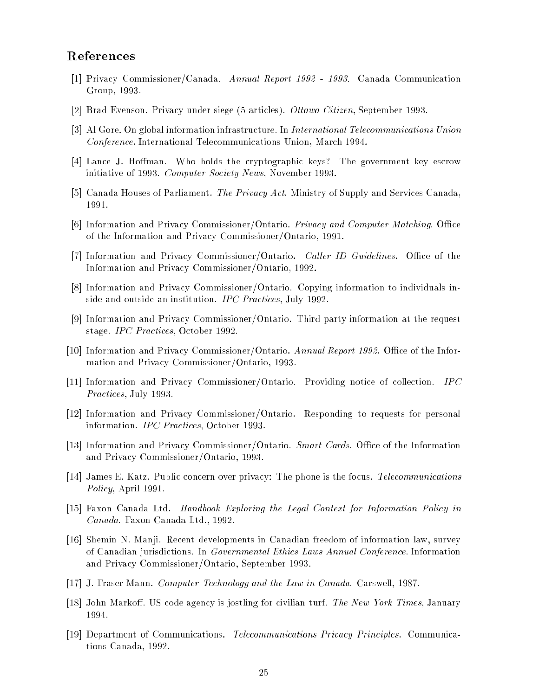### References

- [1] Privacy Commissioner/Canada. Annual Report 1992 1993. Canada Communication Group, 1993.
- [2] Brad Evenson. Privacy under siege (5 articles). Ottawa Citizen, September 1993.
- [3] Al Gore. On global information infrastructure. In International Telecommunications Union Conference. International Telecommunications Union, March 1994.
- [4] Lance J. Hoffman. Who holds the cryptographic keys? The government key escrow initiative of 1993. Computer Society News, November 1993.
- [5] Canada Houses of Parliament. The Privacy Act. Ministry of Supply and Services Canada, 1991.
- [6] Information and Privacy Commissioner/Ontario. Privacy and Computer Matching. Office of the Information and Privacy Commissioner/Ontario, 1991.
- [7] Information and Privacy Commissioner/Ontario. Caller ID Guidelines. Office of the Information and Privacy Commissioner/Ontario, 1992.
- [8] Information and Privacy Commissioner/Ontario. Copying information to individuals inside and outside an institution. IPC Practices, July 1992.
- [9] Information and Privacy Commissioner/Ontario. Third party information at the request stage. IPC Practices, October 1992.
- [10] Information and Privacy Commissioner/Ontario. Annual Report 1992. Office of the Information and Privacy Commissioner/Ontario, 1993.
- [11] Information and Privacy Commissioner/Ontario. Providing notice of collection. IPC Practices, July 1993.
- [12] Information and Privacy Commissioner/Ontario. Responding to requests for personal information. IPC Practices, October 1993.
- [13] Information and Privacy Commissioner/Ontario. Smart Cards. Office of the Information and Privacy Commissioner/Ontario, 1993.
- [14] James E. Katz. Public concern over privacy: The phone is the focus. Telecommunications Policy, April 1991.
- [15] Faxon Canada Ltd. Handbook Exploring the Legal Context for Information Policy in Canada. Faxon Canada Ltd., 1992.
- [16] Shemin N. Manji. Recent developments in Canadian freedom of information law, survey of Canadian jurisdictions. In Governmental Ethics Laws Annual Conference. Information and Privacy Commissioner/Ontario, September 1993.
- [17] J. Fraser Mann. Computer Technology and the Law in Canada. Carswell, 1987.
- [18] John Markoff. US code agency is jostling for civilian turf. The New York Times, January 1994.
- [19] Department of Communications. Telecommunications Privacy Principles. Communications Canada, 1992.